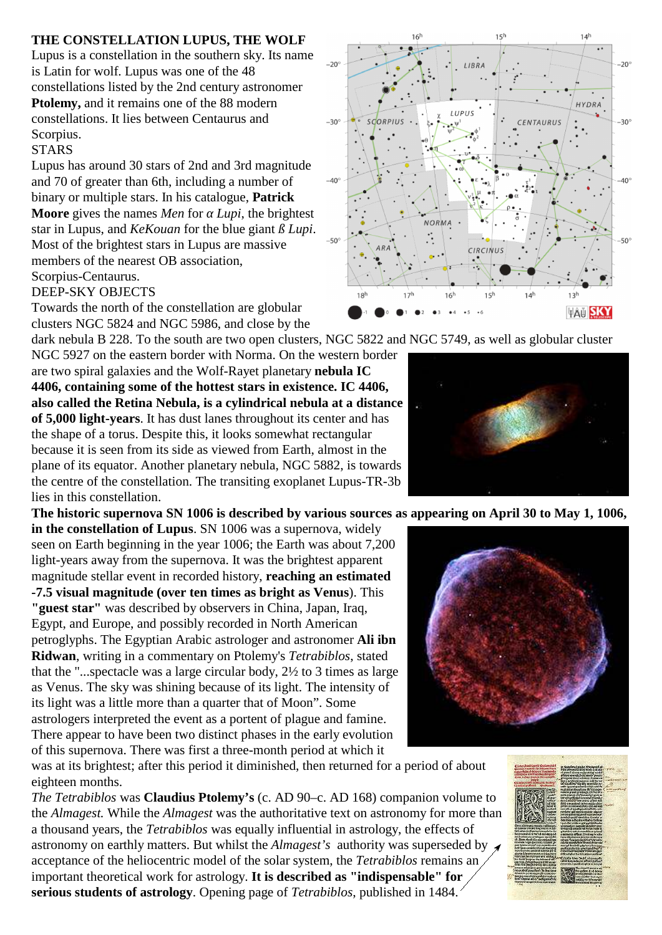## **THE CONSTELLATION LUPUS, THE WOLF**

Lupus is a constellation in the southern sky. Its name is Latin for wolf. Lupus was one of the 48 constellations listed by the 2nd century astronomer **Ptolemy,** and it remains one of the 88 modern constellations. It lies between Centaurus and Scorpius.

## **STARS**

Lupus has around 30 stars of 2nd and 3rd magnitude and 70 of greater than 6th, including a number of binary or multiple stars. In his catalogue, **Patrick Moore** gives the names *Men* for *Lupi*, the brightest star in Lupus, and *KeKouan* for the blue giant *ß Lupi*. Most of the brightest stars in Lupus are massive members of the nearest OB association, Scorpius-Centaurus.

## DEEP-SKY OBJECTS

Towards the north of the constellation are globular clusters NGC 5824 and NGC 5986, and close by the

dark nebula B 228. To the south are two open clusters, NGC 5822 and NGC 5749, as well as globular cluster NGC 5927 on the eastern border with Norma. On the western border are two spiral galaxies and the Wolf-Rayet planetary **nebula IC 4406, containing some of the hottest stars in existence. IC 4406, also called the Retina Nebula, is a cylindrical nebula at a distance of 5,000 light-years**. It has dust lanes throughout its center and has the shape of a torus. Despite this, it looks somewhat rectangular because it is seen from its side as viewed from Earth, almost in the plane of its equator. Another planetary nebula, NGC 5882, is towards the centre of the constellation. The transiting exoplanet Lupus-TR-3b lies in this constellation.

**The historic supernova SN 1006 is described by various sources as appearing on April 30 to May 1, 1006,**

**in the constellation of Lupus**. SN 1006 was a supernova, widely seen on Earth beginning in the year 1006; the Earth was about 7,200 light-years away from the supernova. It was the brightest apparent magnitude stellar event in recorded history, **reaching an estimated -7.5 visual magnitude (over ten times as bright as Venus**). This **"guest star"** was described by observers in China, Japan, Iraq, Egypt, and Europe, and possibly recorded in North American petroglyphs. The Egyptian Arabic astrologer and astronomer **Ali ibn Ridwan**, writing in a commentary on Ptolemy's *Tetrabiblos*, stated that the "...spectacle was a large circular body, 2½ to 3 times as large as Venus. The sky was shining because of its light. The intensity of its light was a little more than a quarter that of Moon". Some astrologers interpreted the event as a portent of plague and famine. There appear to have been two distinct phases in the early evolution of this supernova. There was first a three-month period at which it

was at its brightest; after this period it diminished, then returned for a period of about eighteen months.

*The Tetrabiblos* was **Claudius Ptolemy's** (c. AD 90–c. AD 168) companion volume to the *Almagest.* While the *Almagest* was the authoritative text on astronomy for more than a thousand years, the *Tetrabiblos* was equally influential in astrology, the effects of astronomy on earthly matters. But whilst the *Almagest's* authority was superseded by acceptance of the heliocentric model of the solar system, the *Tetrabiblos* remains an important theoretical work for astrology. **It is described as "indispensable" for serious students of astrology**. Opening page of *Tetrabiblos*, published in 1484.